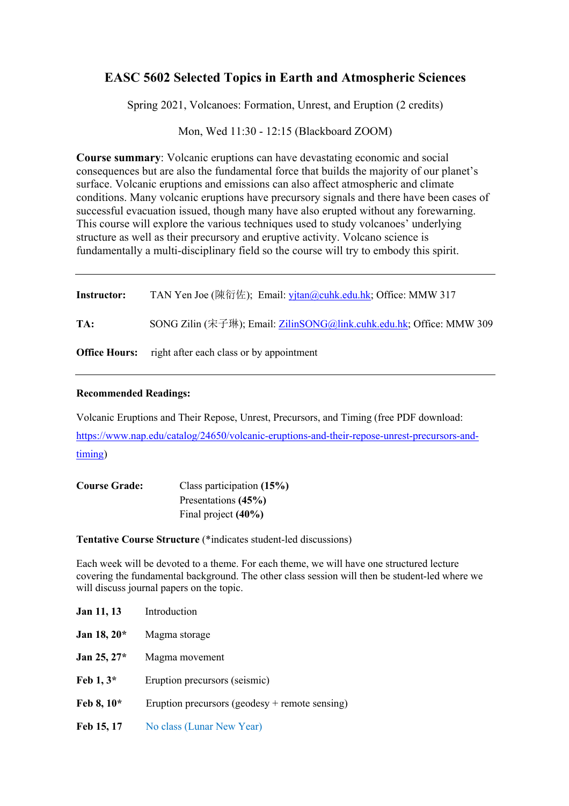## **EASC 5602 Selected Topics in Earth and Atmospheric Sciences**

Spring 2021, Volcanoes: Formation, Unrest, and Eruption (2 credits)

Mon, Wed 11:30 - 12:15 (Blackboard ZOOM)

**Course summary**: Volcanic eruptions can have devastating economic and social consequences but are also the fundamental force that builds the majority of our planet's surface. Volcanic eruptions and emissions can also affect atmospheric and climate conditions. Many volcanic eruptions have precursory signals and there have been cases of successful evacuation issued, though many have also erupted without any forewarning. This course will explore the various techniques used to study volcanoes' underlying structure as well as their precursory and eruptive activity. Volcano science is fundamentally a multi-disciplinary field so the course will try to embody this spirit.

| <b>Instructor:</b> | TAN Yen Joe (陳衍佐); Email: yjtan@cuhk.edu.hk; Office: MMW 317         |
|--------------------|----------------------------------------------------------------------|
| TA:                | SONG Zilin (宋子琳); Email: ZilinSONG@link.cuhk.edu.hk; Office: MMW 309 |
|                    | <b>Office Hours:</b> right after each class or by appointment        |

## **Recommended Readings:**

Volcanic Eruptions and Their Repose, Unrest, Precursors, and Timing (free PDF download: https://www.nap.edu/catalog/24650/volcanic-eruptions-and-their-repose-unrest-precursors-andtiming)

| <b>Course Grade:</b> | Class participation $(15%)$ |
|----------------------|-----------------------------|
|                      | Presentations (45%)         |
|                      | Final project $(40\%)$      |

**Tentative Course Structure** (\*indicates student-led discussions)

Each week will be devoted to a theme. For each theme, we will have one structured lecture covering the fundamental background. The other class session will then be student-led where we will discuss journal papers on the topic.

| Jan 11, 13   | Introduction                                   |
|--------------|------------------------------------------------|
| Jan 18, 20*  | Magma storage                                  |
| Jan 25, 27*  | Magma movement                                 |
| Feb $1, 3^*$ | Eruption precursors (seismic)                  |
| Feb 8, 10*   | Eruption precursors (geodesy + remote sensing) |
| Feb 15, 17   | No class (Lunar New Year)                      |